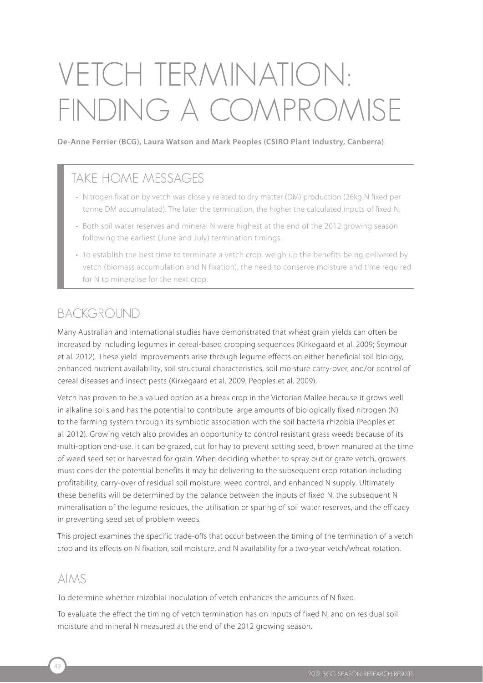# VETCH TERmiNATiON: FiNDiNG A COmPROmiSE

**De-Anne Ferrier (BCG), Laura Watson and Mark Peoples (CSIRO Plant Industry, Canberra)**

## TAKE HOME MESSAGES

- Nitrogen fixation by vetch was closely related to dry matter (DM) production (26kg N fixed per tonne DM accumulated). The later the termination, the higher the calculated inputs of fixed N.
- Both soil water reserves and mineral N were highest at the end of the 2012 growing season following the earliest (June and July) termination timings.
- To establish the best time to terminate a vetch crop, weigh up the benefits being delivered by vetch (biomass accumulation and N fixation), the need to conserve moisture and time required for N to mineralise for the next crop.

## BACKGROUND

Many Australian and international studies have demonstrated that wheat grain yields can often be increased by including legumes in cereal-based cropping sequences (Kirkegaard et al. 2009; Seymour et al. 2012). These yield improvements arise through legume effects on either beneficial soil biology, enhanced nutrient availability, soil structural characteristics, soil moisture carry-over, and/or control of cereal diseases and insect pests (Kirkegaard et al. 2009; Peoples et al. 2009).

Vetch has proven to be a valued option as a break crop in the Victorian Mallee because it grows well in alkaline soils and has the potential to contribute large amounts of biologically fixed nitrogen (N) to the farming system through its symbiotic association with the soil bacteria rhizobia (Peoples et al. 2012). Growing vetch also provides an opportunity to control resistant grass weeds because of its multi-option end-use. It can be grazed, cut for hay to prevent setting seed, brown manured at the time of weed seed set or harvested for grain. When deciding whether to spray out or graze vetch, growers must consider the potential benefits it may be delivering to the subsequent crop rotation including profitability, carry-over of residual soil moisture, weed control, and enhanced N supply. Ultimately these benefits will be determined by the balance between the inputs of fixed N, the subsequent N mineralisation of the legume residues, the utilisation or sparing of soil water reserves, and the efficacy in preventing seed set of problem weeds.

This project examines the specific trade-offs that occur between the timing of the termination of a vetch crop and its effects on N fixation, soil moisture, and N availability for a two-year vetch/wheat rotation.

## **AIMS**

To determine whether rhizobial inoculation of vetch enhances the amounts of N fixed.

To evaluate the effect the timing of vetch termination has on inputs of fixed N, and on residual soil moisture and mineral N measured at the end of the 2012 growing season.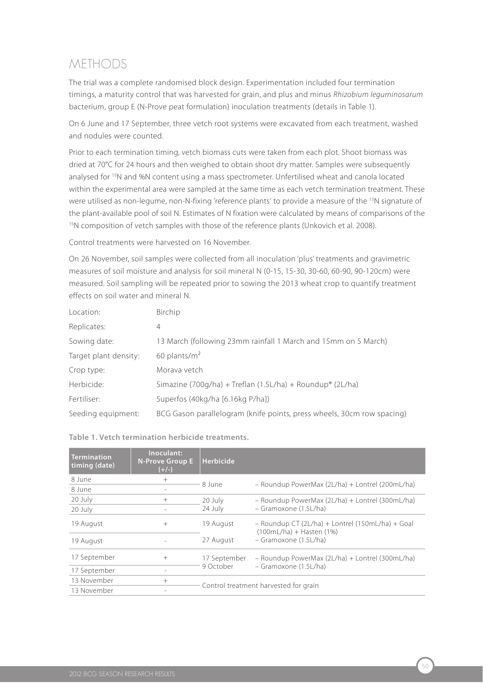# mETHODS

The trial was a complete randomised block design. Experimentation included four termination timings, a maturity control that was harvested for grain, and plus and minus *Rhizobium leguminosarum* bacterium, group E (N-Prove peat formulation) inoculation treatments (details in Table 1).

On 6 June and 17 September, three vetch root systems were excavated from each treatment, washed and nodules were counted.

Prior to each termination timing, vetch biomass cuts were taken from each plot. Shoot biomass was dried at 70°C for 24 hours and then weighed to obtain shoot dry matter. Samples were subsequently analysed for 15N and %N content using a mass spectrometer. Unfertilised wheat and canola located within the experimental area were sampled at the same time as each vetch termination treatment. These were utilised as non-legume, non-N-fixing 'reference plants' to provide a measure of the <sup>15</sup>N signature of the plant-available pool of soil N. Estimates of N fixation were calculated by means of comparisons of the <sup>15</sup>N composition of vetch samples with those of the reference plants (Unkovich et al. 2008).

Control treatments were harvested on 16 November.

On 26 November, soil samples were collected from all inoculation 'plus' treatments and gravimetric measures of soil moisture and analysis for soil mineral N (0-15, 15-30, 30-60, 60-90, 90-120cm) were measured. Soil sampling will be repeated prior to sowing the 2013 wheat crop to quantify treatment effects on soil water and mineral N.

| Location:             | Birchip                                                                |
|-----------------------|------------------------------------------------------------------------|
| Replicates:           | 4                                                                      |
| Sowing date:          | 13 March (following 23mm rainfall 1 March and 15mm on 5 March)         |
| Target plant density: | 60 plants/ $m2$                                                        |
| Crop type:            | Morava vetch                                                           |
| Herbicide:            | Simazine (700g/ha) + Treflan (1.5L/ha) + Roundup® (2L/ha)              |
| Fertiliser:           | Superfos (40kg/ha [6.16kg P/ha])                                       |
| Seeding equipment:    | BCG Gason parallelogram (knife points, press wheels, 30cm row spacing) |

| <b>Termination</b><br>timing (date) | Inoculant:<br><b>N-Prove Group E</b><br>$(+/-)$ | <b>Herbicide</b>                      |                                                                                  |  |  |
|-------------------------------------|-------------------------------------------------|---------------------------------------|----------------------------------------------------------------------------------|--|--|
| 8 June                              | $^{+}$                                          | 8 June                                | - Roundup PowerMax (2L/ha) + Lontrel (200mL/ha)                                  |  |  |
| 8 June                              |                                                 |                                       |                                                                                  |  |  |
| 20 July                             | $^{+}$                                          | 20 July                               | - Roundup PowerMax (2L/ha) + Lontrel (300mL/ha)                                  |  |  |
| 20 July                             |                                                 | 24 July                               | - Gramoxone (1.5L/ha)                                                            |  |  |
| 19 August                           | $+$                                             | 19 August                             | $-$ Roundup CT (2L/ha) + Lontrel (150mL/ha) + Goal<br>$(100mL/ha) + Hasten (1%)$ |  |  |
| 19 August                           |                                                 | 27 August                             | - Gramoxone (1.5L/ha)                                                            |  |  |
| 17 September                        | $+$                                             | 17 September                          | - Roundup PowerMax (2L/ha) + Lontrel (300mL/ha)<br>- Gramoxone (1.5L/ha)         |  |  |
| 17 September                        |                                                 | 9 October                             |                                                                                  |  |  |
| 13 November                         | $+$                                             | Control treatment harvested for grain |                                                                                  |  |  |
| 13 November                         |                                                 |                                       |                                                                                  |  |  |

#### **Table 1. Vetch termination herbicide treatments.**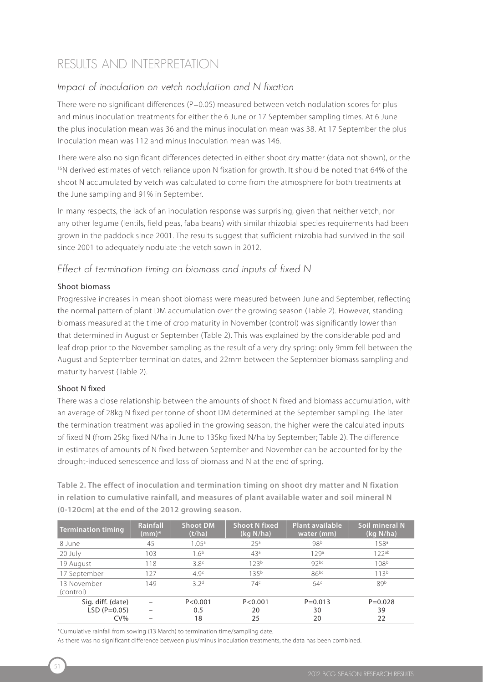## RESULTS AND iNTERPRETATiON

#### Impact of inoculation on vetch nodulation and N fixation

There were no significant differences ( $P=0.05$ ) measured between vetch nodulation scores for plus and minus inoculation treatments for either the 6 June or 17 September sampling times. At 6 June the plus inoculation mean was 36 and the minus inoculation mean was 38. At 17 September the plus Inoculation mean was 112 and minus Inoculation mean was 146.

There were also no significant differences detected in either shoot dry matter (data not shown), or the <sup>15</sup>N derived estimates of vetch reliance upon N fixation for growth. It should be noted that 64% of the shoot N accumulated by vetch was calculated to come from the atmosphere for both treatments at the June sampling and 91% in September.

In many respects, the lack of an inoculation response was surprising, given that neither vetch, nor any other legume (lentils, field peas, faba beans) with similar rhizobial species requirements had been grown in the paddock since 2001. The results suggest that sufficient rhizobia had survived in the soil since 2001 to adequately nodulate the vetch sown in 2012.

#### Effect of termination timing on biomass and inputs of fixed N

#### Shoot biomass

Progressive increases in mean shoot biomass were measured between June and September, reflecting the normal pattern of plant DM accumulation over the growing season (Table 2). However, standing biomass measured at the time of crop maturity in November (control) was significantly lower than that determined in August or September (Table 2). This was explained by the considerable pod and leaf drop prior to the November sampling as the result of a very dry spring: only 9mm fell between the August and September termination dates, and 22mm between the September biomass sampling and maturity harvest (Table 2).

#### Shoot N fixed

There was a close relationship between the amounts of shoot N fixed and biomass accumulation, with an average of 28kg N fixed per tonne of shoot DM determined at the September sampling. The later the termination treatment was applied in the growing season, the higher were the calculated inputs of fixed N (from 25kg fixed N/ha in June to 135kg fixed N/ha by September; Table 2). The difference in estimates of amounts of N fixed between September and November can be accounted for by the drought-induced senescence and loss of biomass and N at the end of spring.

**Table 2. The effect of inoculation and termination timing on shoot dry matter and N fixation in relation to cumulative rainfall, and measures of plant available water and soil mineral N (0-120cm) at the end of the 2012 growing season.**

| Termination timing       | Rainfall<br>$(mm)^*$ | <b>Shoot DM</b><br>(t/ha) | <b>Shoot N fixed</b><br>(kq N/ha) | <b>Plant available</b><br>water (mm) | Soil mineral N<br>(kq N/ha) |
|--------------------------|----------------------|---------------------------|-----------------------------------|--------------------------------------|-----------------------------|
| 8 June                   | 45                   | 1.05 <sup>a</sup>         | 25 <sup>a</sup>                   | 98b                                  | 158 <sup>a</sup>            |
| 20 July                  | 103                  | 1.6 <sup>b</sup>          | 43 <sup>a</sup>                   | 129a                                 | 122ab                       |
| 19 August                | 118                  | 3.8 <sup>c</sup>          | 123 <sup>b</sup>                  | 92 <sub>pc</sub>                     | 108 <sup>b</sup>            |
| 17 September             | 127                  | 4.9 <sup>c</sup>          | $135^{b}$                         | $86^{bc}$                            | 113 <sup>b</sup>            |
| 13 November<br>(control) | 149                  | 32 <sup>d</sup>           | 74 <sup>c</sup>                   | 64 <sup>c</sup>                      | 89b                         |
| Sig. diff. (date)        |                      | P < 0.001                 | P < 0.001                         | $P = 0.013$                          | $P = 0.028$                 |
| $LSD (P=0.05)$           |                      | 0.5                       | 20                                | 30                                   | 39                          |
| $CV\%$                   |                      | 18                        | 25                                | 20                                   | 22                          |

\*Cumulative rainfall from sowing (13 March) to termination time/sampling date.

As there was no significant difference between plus/minus inoculation treatments, the data has been combined.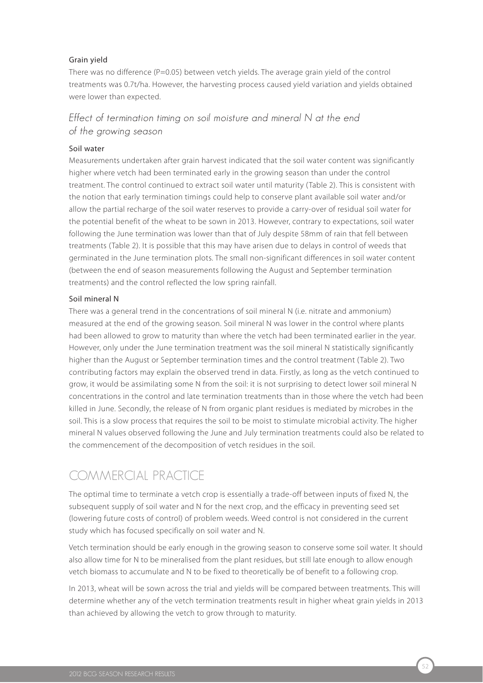#### Grain yield

There was no difference (P=0.05) between vetch yields. The average grain yield of the control treatments was 0.7t/ha. However, the harvesting process caused yield variation and yields obtained were lower than expected.

#### Effect of termination timing on soil moisture and mineral N at the end of the growing season

#### Soil water

Measurements undertaken after grain harvest indicated that the soil water content was significantly higher where vetch had been terminated early in the growing season than under the control treatment. The control continued to extract soil water until maturity (Table 2). This is consistent with the notion that early termination timings could help to conserve plant available soil water and/or allow the partial recharge of the soil water reserves to provide a carry-over of residual soil water for the potential benefit of the wheat to be sown in 2013. However, contrary to expectations, soil water following the June termination was lower than that of July despite 58mm of rain that fell between treatments (Table 2). It is possible that this may have arisen due to delays in control of weeds that germinated in the June termination plots. The small non-significant differences in soil water content (between the end of season measurements following the August and September termination treatments) and the control reflected the low spring rainfall.

#### Soil mineral N

There was a general trend in the concentrations of soil mineral N (i.e. nitrate and ammonium) measured at the end of the growing season. Soil mineral N was lower in the control where plants had been allowed to grow to maturity than where the vetch had been terminated earlier in the year. However, only under the June termination treatment was the soil mineral N statistically significantly higher than the August or September termination times and the control treatment (Table 2). Two contributing factors may explain the observed trend in data. Firstly, as long as the vetch continued to grow, it would be assimilating some N from the soil: it is not surprising to detect lower soil mineral N concentrations in the control and late termination treatments than in those where the vetch had been killed in June. Secondly, the release of N from organic plant residues is mediated by microbes in the soil. This is a slow process that requires the soil to be moist to stimulate microbial activity. The higher mineral N values observed following the June and July termination treatments could also be related to the commencement of the decomposition of vetch residues in the soil.

## COmmERCiAL PRACTiCE

The optimal time to terminate a vetch crop is essentially a trade-off between inputs of fixed N, the subsequent supply of soil water and N for the next crop, and the efficacy in preventing seed set (lowering future costs of control) of problem weeds. Weed control is not considered in the current study which has focused specifically on soil water and N.

Vetch termination should be early enough in the growing season to conserve some soil water. It should also allow time for N to be mineralised from the plant residues, but still late enough to allow enough vetch biomass to accumulate and N to be fixed to theoretically be of benefit to a following crop.

In 2013, wheat will be sown across the trial and yields will be compared between treatments. This will determine whether any of the vetch termination treatments result in higher wheat grain yields in 2013 than achieved by allowing the vetch to grow through to maturity.